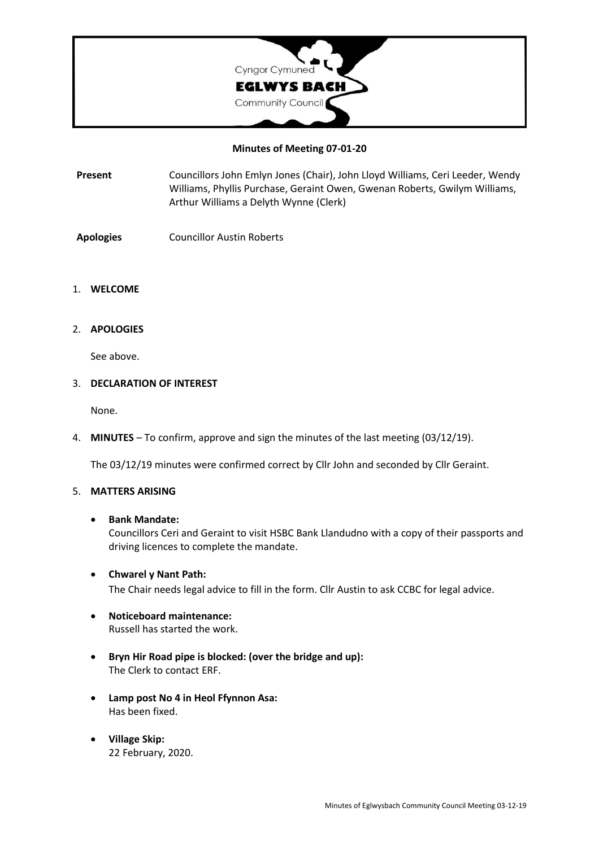

### **Minutes of Meeting 07-01-20**

- **Present** Councillors John Emlyn Jones (Chair), John Lloyd Williams, Ceri Leeder, Wendy Williams, Phyllis Purchase, Geraint Owen, Gwenan Roberts, Gwilym Williams, Arthur Williams a Delyth Wynne (Clerk)
- **Apologies** Councillor Austin Roberts

#### 1. **WELCOME**

2. **APOLOGIES**

See above.

#### 3. **DECLARATION OF INTEREST**

None.

4. **MINUTES** – To confirm, approve and sign the minutes of the last meeting (03/12/19).

The 03/12/19 minutes were confirmed correct by Cllr John and seconded by Cllr Geraint.

#### 5. **MATTERS ARISING**

#### • **Bank Mandate:**

Councillors Ceri and Geraint to visit HSBC Bank Llandudno with a copy of their passports and driving licences to complete the mandate.

- **Chwarel y Nant Path:** The Chair needs legal advice to fill in the form. Cllr Austin to ask CCBC for legal advice.
- **Noticeboard maintenance:** Russell has started the work.
- **Bryn Hir Road pipe is blocked: (over the bridge and up):** The Clerk to contact ERF.
- **Lamp post No 4 in Heol Ffynnon Asa:** Has been fixed.
- **Village Skip:** 22 February, 2020.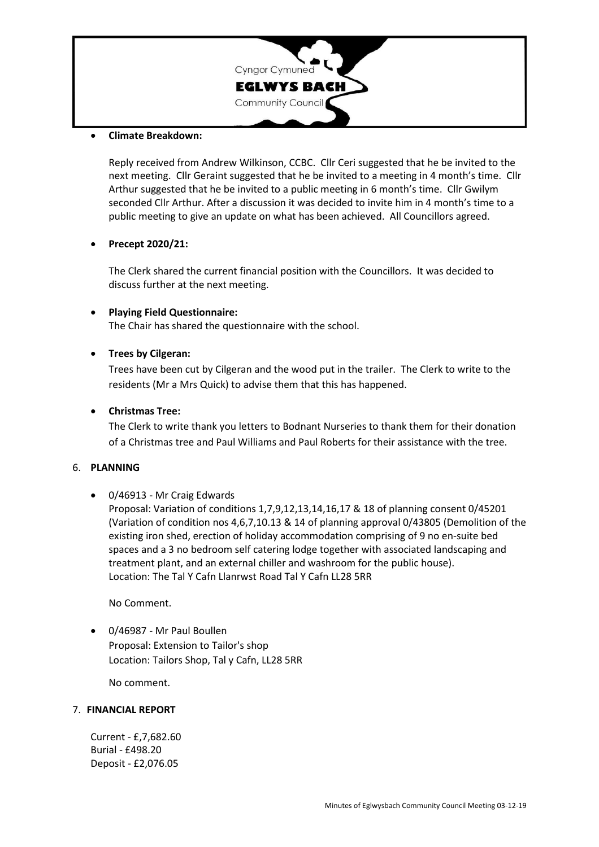

### • **Climate Breakdown:**

Reply received from Andrew Wilkinson, CCBC. Cllr Ceri suggested that he be invited to the next meeting. Cllr Geraint suggested that he be invited to a meeting in 4 month's time. Cllr Arthur suggested that he be invited to a public meeting in 6 month's time. Cllr Gwilym seconded Cllr Arthur. After a discussion it was decided to invite him in 4 month's time to a public meeting to give an update on what has been achieved. All Councillors agreed.

### • **Precept 2020/21:**

The Clerk shared the current financial position with the Councillors. It was decided to discuss further at the next meeting.

### • **Playing Field Questionnaire:**

The Chair has shared the questionnaire with the school.

## • **Trees by Cilgeran:**

Trees have been cut by Cilgeran and the wood put in the trailer. The Clerk to write to the residents (Mr a Mrs Quick) to advise them that this has happened.

### • **Christmas Tree:**

The Clerk to write thank you letters to Bodnant Nurseries to thank them for their donation of a Christmas tree and Paul Williams and Paul Roberts for their assistance with the tree.

### 6. **PLANNING**

## • 0/46913 - Mr Craig Edwards

Proposal: Variation of conditions 1,7,9,12,13,14,16,17 & 18 of planning consent 0/45201 (Variation of condition nos 4,6,7,10.13 & 14 of planning approval 0/43805 (Demolition of the existing iron shed, erection of holiday accommodation comprising of 9 no en-suite bed spaces and a 3 no bedroom self catering lodge together with associated landscaping and treatment plant, and an external chiller and washroom for the public house). Location: The Tal Y Cafn Llanrwst Road Tal Y Cafn LL28 5RR

No Comment.

• 0/46987 - Mr Paul Boullen Proposal: Extension to Tailor's shop Location: Tailors Shop, Tal y Cafn, LL28 5RR

No comment.

### 7. **FINANCIAL REPORT**

Current - £,7,682.60 Burial - £498.20 Deposit - £2,076.05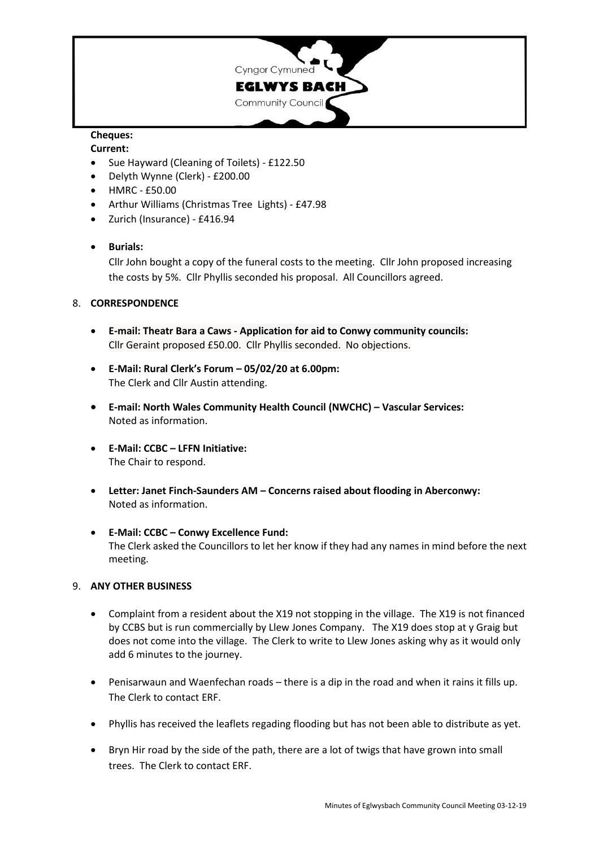

# **Cheques:**

### **Current:**

- Sue Hayward (Cleaning of Toilets) £122.50
- Delyth Wynne (Clerk) £200.00
- HMRC £50.00
- Arthur Williams (Christmas Tree Lights) £47.98
- Zurich (Insurance) £416.94

# • **Burials:**

Cllr John bought a copy of the funeral costs to the meeting. Cllr John proposed increasing the costs by 5%. Cllr Phyllis seconded his proposal. All Councillors agreed.

## 8. **CORRESPONDENCE**

- **E-mail: Theatr Bara a Caws - Application for aid to Conwy community councils:** Cllr Geraint proposed £50.00. Cllr Phyllis seconded. No objections.
- **E-Mail: Rural Clerk's Forum – 05/02/20 at 6.00pm:** The Clerk and Cllr Austin attending.
- **E-mail: North Wales Community Health Council (NWCHC) – Vascular Services:** Noted as information.
- **E-Mail: CCBC – LFFN Initiative:** The Chair to respond.
- **Letter: Janet Finch-Saunders AM – Concerns raised about flooding in Aberconwy:** Noted as information.
- **E-Mail: CCBC – Conwy Excellence Fund:** The Clerk asked the Councillors to let her know if they had any names in mind before the next meeting.

## 9. **ANY OTHER BUSINESS**

- Complaint from a resident about the X19 not stopping in the village. The X19 is not financed by CCBS but is run commercially by Llew Jones Company. The X19 does stop at y Graig but does not come into the village. The Clerk to write to Llew Jones asking why as it would only add 6 minutes to the journey.
- Penisarwaun and Waenfechan roads there is a dip in the road and when it rains it fills up. The Clerk to contact ERF.
- Phyllis has received the leaflets regading flooding but has not been able to distribute as yet.
- Bryn Hir road by the side of the path, there are a lot of twigs that have grown into small trees. The Clerk to contact ERF.